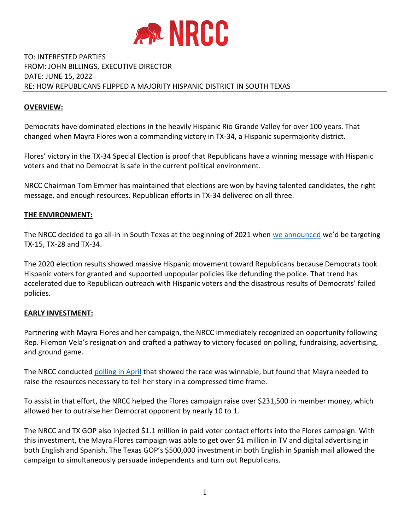

# TO: INTERESTED PARTIES FROM: JOHN BILLINGS, EXECUTIVE DIRECTOR DATE: JUNE 15, 2022 RE: HOW REPUBLICANS FLIPPED A MAJORITY HISPANIC DISTRICT IN SOUTH TEXAS

## **OVERVIEW:**

Democrats have dominated elections in the heavily Hispanic Rio Grande Valley for over 100 years. That changed when Mayra Flores won a commanding victory in TX-34, a Hispanic supermajority district.

Flores' victory in the TX-34 Special Election is proof that Republicans have a winning message with Hispanic voters and that no Democrat is safe in the current political environment.

NRCC Chairman Tom Emmer has maintained that elections are won by having talented candidates, the right message, and enough resources. Republican efforts in TX-34 delivered on all three.

## **THE ENVIRONMENT:**

The NRCC decided to go all-in in South Texas at the beginning of 2021 when [we announced](https://rollcall.com/2021/02/10/these-47-house-democrats-are-on-the-gops-target-list-for-2022/) we'd be targeting TX-15, TX-28 and TX-34.

The 2020 election results showed massive Hispanic movement toward Republicans because Democrats took Hispanic voters for granted and supported unpopular policies like defunding the police. That trend has accelerated due to Republican outreach with Hispanic voters and the disastrous results of Democrats' failed policies.

#### **EARLY INVESTMENT:**

Partnering with Mayra Flores and her campaign, the NRCC immediately recognized an opportunity following Rep. Filemon Vela's resignation and crafted a pathway to victory focused on polling, fundraising, advertising, and ground game.

The NRCC conducted [polling in April](https://www.nrcc.org/wp-content/uploads/2022/04/TX-CD-34_Memo.pdf) that showed the race was winnable, but found that Mayra needed to raise the resources necessary to tell her story in a compressed time frame.

To assist in that effort, the NRCC helped the Flores campaign raise over \$231,500 in member money, which allowed her to outraise her Democrat opponent by nearly 10 to 1.

The NRCC and TX GOP also injected \$1.1 million in paid voter contact efforts into the Flores campaign. With this investment, the Mayra Flores campaign was able to get over \$1 million in TV and digital advertising in both English and Spanish. The Texas GOP's \$500,000 investment in both English in Spanish mail allowed the campaign to simultaneously persuade independents and turn out Republicans.